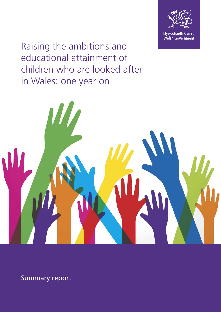

Raising the ambitions and educational attainment of children who are looked after in Wales: one year on



Summary report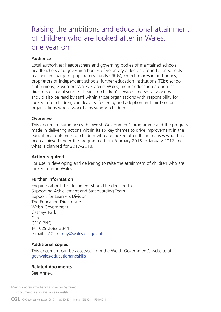# Raising the ambitions and educational attainment of children who are looked after in Wales: one year on

### **Audience**

Local authorities; headteachers and governing bodies of maintained schools; headteachers and governing bodies of voluntary-aided and foundation schools; teachers in charge of pupil referral units (PRUs), church diocesan authorities; proprietors of independent schools; further education institutions (FEIs); school staff unions; Governors Wales; Careers Wales; higher education authorities; directors of social services; heads of children's services and social workers. It should also be read by staff within those organisations with responsibility for looked-after children, care leavers, fostering and adoption and third sector organisations whose work helps support children.

#### **Overview**

This document summarises the Welsh Government's programme and the progress made in delivering actions within its six key themes to drive improvement in the educational outcomes of children who are looked after. It summarises what has been achieved under the programme from February 2016 to January 2017 and what is planned for 2017–2018.

#### **Action required**

For use in developing and delivering to raise the attainment of children who are looked after in Wales.

#### **Further information**

Enquiries about this document should be directed to: Supporting Achievement and Safeguarding Team Support for Learners Division The Education Directorate Welsh Government Cathays Park **Cardiff** CF10 3NQ Tel: 029 2082 3344 e-mail: LACstrategy@wales.gsi.gov.uk

#### **Additional copies**

This document can be accessed from the Welsh Government's website at [gov.wales/educationandskills](http://gov.wales/educationandskills)

### **Related documents**

See Annex.

Mae'r ddogfen yma hefyd ar gael yn Gymraeg. This document is also available in Welsh.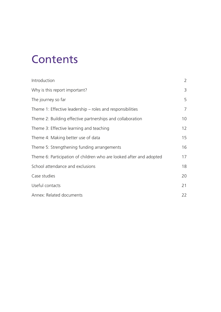# **Contents**

| Introduction                                                        | $\overline{2}$  |
|---------------------------------------------------------------------|-----------------|
| Why is this report important?                                       | 3               |
| The journey so far                                                  | 5               |
| Theme 1: Effective leadership – roles and responsibilities          | 7               |
| Theme 2: Building effective partnerships and collaboration          | 10              |
| Theme 3: Effective learning and teaching                            | 12 <sup>2</sup> |
| Theme 4: Making better use of data                                  | 15              |
| Theme 5: Strengthening funding arrangements                         | 16              |
| Theme 6: Participation of children who are looked after and adopted | 17              |
| School attendance and exclusions                                    | 18              |
| Case studies                                                        | 20              |
| Useful contacts                                                     | 21              |
| Annex: Related documents                                            | 22              |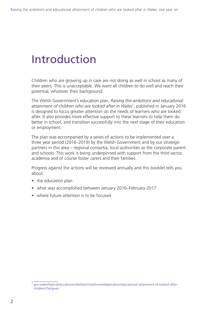# Introduction

Children who are growing up in care are not doing as well in school as many of their peers. This is unacceptable. We want all children to do well and reach their potential, whatever their background.

The Welsh Government's education plan, *Raising the ambitions and educational attainment of children who are looked after in Wales*<sup>1</sup> , published in January 2016 is designed to focus greater attention on the needs of learners who are looked after. It also provides more effective support to these learners to help them do better in school, and transition successfully into the next stage of their education or employment.

The plan was accompanied by a series of actions to be implemented over a three year period (2016–2019) by the Welsh Government and by our strategic partners in this area – regional consortia, local authorities as the corporate parent and schools. This work is being underpinned with support from the third sector, academia and of course foster carers and their families.

Progress against the actions will be reviewed annually and this booklet tells you about:

- the education plan
- what was accomplished between January 2016–February 2017
- where future attention is to be focused.

<sup>1</sup> [gov.wales/topics/educationandskills/schoolshome/deprivation/educational-attainment-of-looked-after](http://gov.wales/topics/educationandskills/schoolshome/deprivation/educational-attainment-of-looked-after-children/?lang=en)[children/?lang=en](http://gov.wales/topics/educationandskills/schoolshome/deprivation/educational-attainment-of-looked-after-children/?lang=en)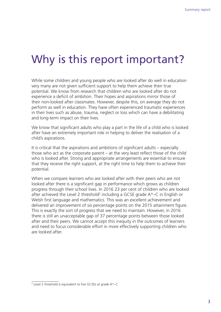# Why is this report important?

While some children and young people who are looked after do well in education very many are not given sufficient support to help them achieve their true potential. We know from research that children who are looked after do not experience a deficit of ambition. Their hopes and aspirations mirror those of their non-looked after classmates. However, despite this, on average they do not perform as well in education. They have often experienced traumatic experiences in their lives such as abuse, trauma, neglect or loss which can have a debilitating and long-term impact on their lives.

We know that significant adults who play a part in the life of a child who is looked after have an extremely important role in helping to deliver the realisation of a child's aspirations.

It is critical that the aspirations and ambitions of significant adults – especially those who act as the corporate parent – at the very least reflect those of the child who is looked after. Strong and appropriate arrangements are essential to ensure that they receive the right support, at the right time to help them to achieve their potential.

When we compare learners who are looked after with their peers who are not looked after there is a significant gap in performance which grows as children progress through their school lives. In 2016 23 per cent of children who are looked after achieved the Level 2 threshold<sup>2</sup> including a GCSE grade  $A^*$ –C in English or Welsh first language and mathematics. This was an excellent achievement and delivered an improvement of six percentage points on the 2015 attainment figure. This is exactly the sort of progress that we need to maintain. However, in 2016 there is still an unacceptable gap of 37 percentage points between those looked after and their peers. We cannot accept this inequity in the outcomes of learners and need to focus considerable effort in more effectively supporting children who are looked after.

<sup>2</sup> Level 2 threshold is equivalent to five GCSEs at grade A\*–C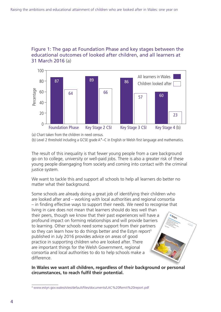

### Figure 1: The gap at Foundation Phase and key stages between the educational outcomes of looked after children, and all learners at 31 March 2016 (a)

(a) Chart taken from the children in need census.

The result of this inequality is that fewer young people from a care background go on to college, university or well-paid jobs. There is also a greater risk of these young people disengaging from society and coming into contact with the criminal justice system.

We want to tackle this and support all schools to help all learners do better no matter what their background.

Some schools are already doing a great job of identifying their children who are looked after and – working with local authorities and regional consortia – in finding effective ways to support their needs. We need to recognise that living in care does not mean that learners should do less well than their peers, though we know that their past experiences will have a profound impact on forming relationships and will provide barriers to learning. Other schools need some support from their partners so they can learn how to do things better and the Estyn report $3$ published in July 2016 provides advice on areas of good practice in supporting children who are looked after. There are important things for the Welsh Government, regional consortia and local authorities to do to help schools make a difference. Raising<br>Chievement<br>**Spiration of and ment**<br>*houting* of and ment achievement atta<br>spiration ent and<br>e look-n or and aspiration of attainment are looked after a best practice report<br>the practice report<br>the 201<sub>6</sub> July 2016 estyn.cym estyn.gov.wales

#### **In Wales we want all children, regardless of their background or personal circumstances, to reach fulfil their potential.**

<sup>3</sup> [www.estyn.gov.wales/sites/default/files/documents/LAC%20Remit%20report.pdf](http://www.estyn.gov.wales/sites/default/files/documents/LAC%20Remit%20report.pdf)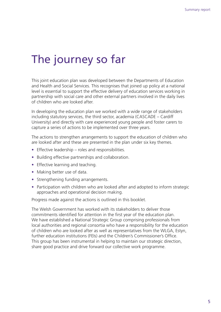# The journey so far

This joint education plan was developed between the Departments of Education and Health and Social Services. This recognises that joined up policy at a national level is essential to support the effective delivery of education services working in partnership with social care and other external partners involved in the daily lives of children who are looked after.

In developing the education plan we worked with a wide range of stakeholders including statutory services, the third sector, academia (CASCADE – Cardiff University) and directly with care experienced young people and foster carers to capture a series of actions to be implemented over three years.

The actions to strengthen arrangements to support the education of children who are looked after and these are presented in the plan under six key themes.

- Effective leadership roles and responsibilities.
- Building effective partnerships and collaboration.
- Effective learning and teaching.
- Making better use of data.
- Strengthening funding arrangements.
- Participation with children who are looked after and adopted to inform strategic approaches and operational decision making.

Progress made against the actions is outlined in this booklet.

The Welsh Government has worked with its stakeholders to deliver those commitments identified for attention in the first year of the education plan. We have established a National Strategic Group comprising professionals from local authorities and regional consortia who have a responsibility for the education of children who are looked after as well as representatives from the WLGA, Estyn, further education institutions (FEIs) and the Children's Commissioner's Office. This group has been instrumental in helping to maintain our strategic direction, share good practice and drive forward our collective work programme.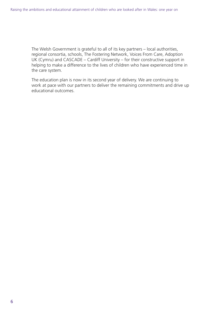The Welsh Government is grateful to all of its key partners – local authorities, regional consortia, schools, The Fostering Network, Voices From Care, Adoption UK (Cymru) and CASCADE – Cardiff University – for their constructive support in helping to make a difference to the lives of children who have experienced time in the care system.

The education plan is now in its second year of delivery. We are continuing to work at pace with our partners to deliver the remaining commitments and drive up educational outcomes.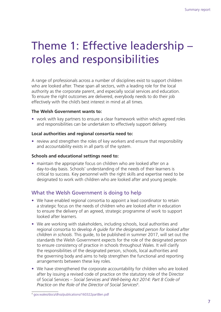# Theme 1: Effective leadership – roles and responsibilities

A range of professionals across a number of disciplines exist to support children who are looked after. These span all sectors, with a leading role for the local authority as the corporate parent, and especially social services and education. To ensure the right outcomes are delivered, everybody needs to do their job effectively with the child's best interest in mind at all times.

### **The Welsh Government wants to:**

• work with key partners to ensure a clear framework within which agreed roles and responsibilities can be undertaken to effectively support delivery.

#### **Local authorities and regional consortia need to:**

• review and strengthen the roles of key workers and ensure that responsibility and accountability exists in all parts of the system.

### **Schools and educational settings need to:**

• maintain the appropriate focus on children who are looked after on a day-to-day basis. Schools' understanding of the needs of their learners is critical to success. Key personnel with the right skills and expertise need to be designated to work with children who are looked after and young people.

### What the Welsh Government is doing to help

- We have enabled regional consortia to appoint a lead coordinator to retain a strategic focus on the needs of children who are looked after in education to ensure the delivery of an agreed, strategic programme of work to support looked after learners.
- We are working with stakeholders, including schools, local authorities and regional consortia to develop *A guide for the designated person for looked after children in schools*. This guide, to be published in summer 2017, will set out the standards the Welsh Government expects for the role of the designated person to ensure consistency of practice in schools throughout Wales. It will clarify the responsibilities of the designated person, schools, local authorities and the governing body and aims to help strengthen the functional and reporting arrangements between these key roles.
- We have strengthened the corporate accountability for children who are looked after by issuing a revised code of practice on the statutory role of the Director of Social Services – *Social Services and Well-being Act 2014: Part 8 Code of Practice on the Role of the Director of Social Services*<sup>4</sup> .

<sup>4</sup> [gov.wales/docs/dhss/publications/160322part8en.pdf](http://gov.wales/docs/dhss/publications/160322part8en.pdf)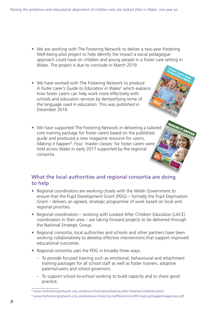- We are working with The Fostering Network to deliver a two-year Fostering Well-being pilot project to help identify the impact a social pedagogue approach could have on children and young people in a foster care setting in Wales. The project is due to conclude in March 2019. **A foster carer's Guide**<br>**b Education in Squide**
- We have worked with The Fostering Network to produce A foster carer's Guide to Education in Wales<sup>5</sup> which explains how foster carers can help work more effectively with schools and education services by demystifying some of the language used in education. This was published in December 2016.
- We have supported The Fostering Network in delivering a tailored core training package for foster carers based on the published guide and produced a new magazine resource for carers, Making it happen<sup>6</sup>. Four 'master classes' for foster carers were held across Wales in early 2017 supported by the regional consortia. **THE SCHOOL** SCHO<sup>SCHO</sup>  $\overline{\phantom{a}}$ THE FOSTER FAMILY An experienced carefully perspective plus her top tips

### What the local authorities and regional consortia are doing to help

• Regional coordinators are working closely with the Welsh Government to ensure that the Pupil Development Grant (PDG) – formally the Pupil Deprivation Grant – delivers an agreed, strategic programme of work based on local and regional priorities.

**SOME CHALLENGES** THAT FOULLED CHILDREN FACE Attachment difficulties, special educational needs and truancy

TOP TIPS for foster carers

> *'We value your support!'* Young people tell us that their foster carers can really make a difference

**MAKING IT HAPPEN**<br>How for formal their ambitions in educations and fulfil their ambitions in educations in educations in educations in the international theories in the season of the international services in the season o

to Education in Wales<br>**Constitution in Wales** thefosteringnetwork.org.uk

- Regional coordinators working with Looked After Children Education (LACE) coordinators in their area – are taking forward projects to be delivered through the National Strategic Group.
- Regional consortia, local authorities and schools and other partners have been working collaboratively to develop effective interventions that support improved educational outcomes.
- Regional consortia uses the PDG in broadly three ways.
	- To provide focused training such as emotional, behavioural and attachment training packages for all school staff as well as foster trainers, adoptive parents/carers and school governors.
	- To support school-to-school working to build capacity and to share good practice.

<sup>5</sup> [www.thefosteringnetwork.org.uk/advice-information/looking-after-fostered-child/education](http://www.thefosteringnetwork.org.uk/advice-information/looking-after-fostered-child/education)

<sup>6</sup> [www.thefosteringnetwork.org.uk/sites/www.fostering.net/files/content/tfnmakingithappenmagazinee.pdf](http://www.thefosteringnetwork.org.uk/sites/www.fostering.net/files/content/tfnmakingithappenmagazinee.pdf)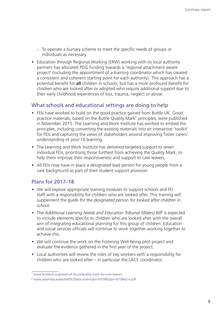- To operate a bursary scheme to meet the specific needs of groups or individuals as necessary.
- Education through Regional Working (ERW) working with its local authority partners has allocated PDG funding towards a 'regional attachment aware project' (including the appointment of a training coordinator which has created a consistent and coherent starting point for each authority). This approach has a potential benefit for **all** children in schools, but has a more profound benefit for children who are looked after or adopted who require additional support due to their early childhood experiences of loss, trauma, neglect or abuse.

### What schools and educational settings are doing to help

- FEIs have worked to build on the good practice gained from Buttle UK. Good practice materials, based on the Buttle Quality Mark<sup>7</sup> principles, were published in November 2015. The Learning and Work Institute has worked to embed the principles, including converting the existing materials into an interactive 'toolkit' for FEIs and capturing the views of stakeholders around improving foster carers' understanding of post-16 learning.
- The Learning and Work Institute has delivered targeted support to seven individual FEIs, prioritising those furthest from achieving the Quality Mark, to help them improve their responsiveness and support to care leavers.
- All FEIs now have in place a designated lead person for young people from a care background as part of their student support provision.

### Plans for 2017–18

- We will explore appropriate training modules to support schools and FEI staff with a responsibility for children who are looked after. This training will supplement the *guide for the designated person for looked after children in school*.
- The *Additional Learning Needs and Education Tribunal (Wales) Bill<sup>8</sup> is expected* to include elements specific to children who are looked after with the overall aim of integrating educational planning for this group of children. Education and social services officials will continue to work together working together to achieve this.
- We will continue the work on the Fostering Well-being pilot project and evaluate the evidence gathered in the first year of the project.
- Local authorities will review the roles of key workers with a responsibility for children who are looked after – in particular the LACE coordinator.

<sup>7</sup> [www.buttleuk.org/areas-of-focus/quality-mark-for-care-leavers](http://www.buttleuk.org/areas-of-focus/quality-mark-for-care-leavers)

<sup>8</sup> [www.assembly.wales/laid%20documents/pri-ld10862/pri-ld10862-e.pdf](http://www.assembly.wales/laid%20documents/pri-ld10862/pri-ld10862-e.pdf)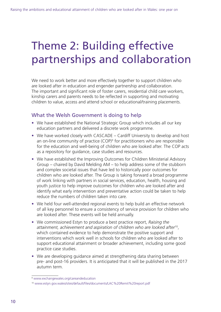# Theme 2: Building effective partnerships and collaboration

We need to work better and more effectively together to support children who are looked after in education and engender partnership and collaboration. The important and significant role of foster carers, residential child care workers, kinship carers and parents needs to be reflected in supporting and motivating children to value, access and attend school or educational/training placements.

## What the Welsh Government is doing to help

- We have established the National Strategic Group which includes all our key education partners and delivered a discrete work programme.
- We have worked closely with CASCADE Cardiff University to develop and host an on-line community of practice (COP)<sup>9</sup> for practitioners who are responsible for the education and well-being of children who are looked after. The COP acts as a repository for guidance, case studies and resources.
- We have established the Improving Outcomes for Children Ministerial Advisory Group – chaired by David Melding AM – to help address some of the stubborn and complex societal issues that have led to historically poor outcomes for children who are looked after. The Group is taking forward a broad programme of work linking with partners in social services, education, health, housing and youth justice to help improve outcomes for children who are looked after and identify what early intervention and preventative action could be taken to help reduce the numbers of children taken into care.
- We held four well-attended regional events to help build an effective network of all key personnel to ensure a consistency of service provision for children who are looked after. These events will be held annually.
- We commissioned Estyn to produce a best practice report, *Raising the attainment, achievement and aspiration of children who are looked after*10, which contained evidence to help demonstrate the positive support and interventions which work well in schools for children who are looked after to support educational attainment or broader achievement, including some good practice case studies.
- We are developing guidance aimed at strengthening data sharing between pre- and post-16 providers. It is anticipated that it will be published in the 2017 autumn term.

<sup>9</sup> [www.exchangewales.org/careandeducation](http://www.exchangewales.org/careandeducation)

<sup>10</sup> [www.estyn.gov.wales/sites/default/files/documents/LAC%20Remit%20report.pdf](http://www.estyn.gov.wales/sites/default/files/documents/LAC%20Remit%20report.pdf)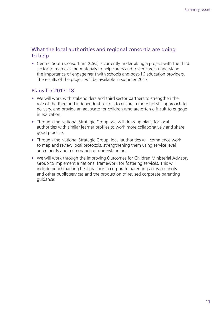### What the local authorities and regional consortia are doing to help

• Central South Consortium (CSC) is currently undertaking a project with the third sector to map existing materials to help carers and foster carers understand the importance of engagement with schools and post-16 education providers. The results of the project will be available in summer 2017.

## Plans for 2017–18

- We will work with stakeholders and third sector partners to strengthen the role of the third and independent sectors to ensure a more holistic approach to delivery, and provide an advocate for children who are often difficult to engage in education.
- Through the National Strategic Group, we will draw up plans for local authorities with similar learner profiles to work more collaboratively and share good practice.
- Through the National Strategic Group, local authorities will commence work to map and review local protocols, strengthening them using service level agreements and memoranda of understanding.
- We will work through the Improving Outcomes for Children Ministerial Advisory Group to implement a national framework for fostering services. This will include benchmarking best practice in corporate parenting across councils and other public services and the production of revised corporate parenting guidance.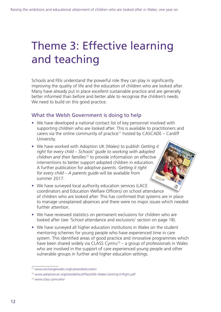# Theme 3: Effective learning and teaching

Schools and FEIs understand the powerful role they can play in significantly improving the quality of life and the education of children who are looked after. Many have already put in place excellent sustainable practice and are generally better informed than before and better able to recognise the children's needs. We need to build on this good practice.

## What the Welsh Government is doing to help

• We have developed a national contact list of key personnel involved with supporting children who are looked after. This is available to practitioners and carers via the online community of practice<sup>11</sup> hosted by  $CASCADE - Cardiff$ University.

> Getting it right for every child<br>Severy child

**to working with adopted children and their families**

- We have worked with Adoption UK (Wales) to publish *Getting it right for every child – Schools' guide to working with adopted children and their families12* to provide information on effective interventions to better support adopted children in education. A further publication for adoptive parents: *Getting it right for every child – A parents guide* will be available from summer 2017.
- We have surveyed local authority education services (LACE coordinators and Education Welfare Officers) on school attendance of children who are looked after. This has confirmed that systems are in place to manage unexplained absences and there were no major issues which needed further attention.
- We have reviewed statistics on permanent exclusions for children who are looked after (see 'School attendance and exclusions' section on page 18).
- We have surveyed all higher education institutions in Wales on the student mentoring schemes for young people who have experienced time in care system. This identified areas of good practice and innovative programmes which have been shared widely via CLASS Cymru<sup>13</sup> – a group of professionals in Wales who are involved in the support of care experienced young people and other vulnerable groups in further and higher education settings.

<sup>11</sup> [www.exchangewales.org/careandeducation](http://www.exchangewales.org/careandeducation)

<sup>12</sup> [www.adoptionuk.org/sites/default/files/ADk-Wales-Getting-It-Right.pdf](http://www.adoptionuk.org/sites/default/files/ADk-Wales-Getting-It-Right.pdf)

<sup>13</sup> [www.class.cymru/en/](http://www.class.cymru/en/)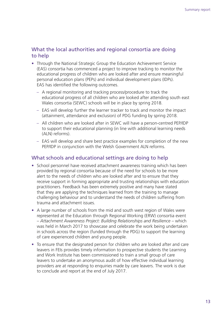### What the local authorities and regional consortia are doing to help

- Through the National Strategic Group the Education Achievement Service (EAS) consortia has commenced a project to improve tracking to monitor the educational progress of children who are looked after and ensure meaningful personal education plans (PEPs) and individual development plans (IDPs). EAS has identified the following outcomes.
	- A regional monitoring and tracking process/procedure to track the educational progress of all children who are looked after attending south east Wales consortia (SEWC) schools will be in place by spring 2018.
	- EAS will develop further the learner tracker to track and monitor the impact (attainment, attendance and exclusion) of PDG funding by spring 2018.
	- All children who are looked after in SEWC will have a person-centred PEP/IDP to support their educational planning (in line with additional learning needs (ALN) reforms).
	- EAS will develop and share best practice examples for completion of the new PEP/IDP in conjunction with the Welsh Government ALN reforms.

### What schools and educational settings are doing to help

- School personnel have received attachment awareness training which has been provided by regional consortia because of the need for schools to be more alert to the needs of children who are looked after and to ensure that they receive support in forming appropriate and trusting relationships with education practitioners. Feedback has been extremely positive and many have stated that they are applying the techniques learned from the training to manage challenging behaviour and to understand the needs of children suffering from trauma and attachment issues.
- A large number of schools from the mid and south west region of Wales were represented at the Education through Regional Working (ERW) consortia event – *Attachment Awareness Project: Building Relationships and Resilience* – which was held in March 2017 to showcase and celebrate the work being undertaken in schools across the region (funded through the PDG) to support the learning of care experienced children and young people.
- To ensure that the designated person for children who are looked after and care leavers in FEIs provides timely information to prospective students the Learning and Work Institute has been commissioned to train a small group of care leavers to undertake an anonymous audit of how effective individual learning providers are at responding to enquiries made by care leavers. The work is due to conclude and report at the end of July 2017.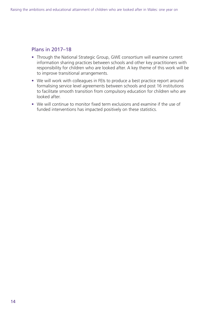## Plans in 2017–18

- Through the National Strategic Group, GWE consortium will examine current information sharing practices between schools and other key practitioners with responsibility for children who are looked after. A key theme of this work will be to improve transitional arrangements.
- We will work with colleagues in FEIs to produce a best practice report around formalising service level agreements between schools and post 16 institutions to facilitate smooth transition from compulsory education for children who are looked after.
- We will continue to monitor fixed term exclusions and examine if the use of funded interventions has impacted positively on these statistics.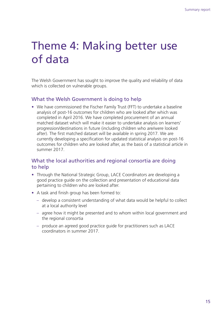# Theme 4: Making better use of data

The Welsh Government has sought to improve the quality and reliability of data which is collected on vulnerable groups.

## What the Welsh Government is doing to help

• We have commissioned the Fischer Family Trust (FFT) to undertake a baseline analysis of post-16 outcomes for children who are looked after which was completed in April 2016. We have completed procurement of an annual matched dataset which will make it easier to undertake analysis on learners' progression/destinations in future (including children who are/were looked after). The first matched dataset will be available in spring 2017. We are currently developing a specification for updated statistical analysis on post-16 outcomes for children who are looked after, as the basis of a statistical article in summer 2017.

## What the local authorities and regional consortia are doing to help

- Through the National Strategic Group, LACE Coordinators are developing a good practice guide on the collection and presentation of educational data pertaining to children who are looked after.
- A task and finish group has been formed to:
	- develop a consistent understanding of what data would be helpful to collect at a local authority level
	- agree how it might be presented and to whom within local government and the regional consortia
	- produce an agreed good practice guide for practitioners such as LACE coordinators in summer 2017.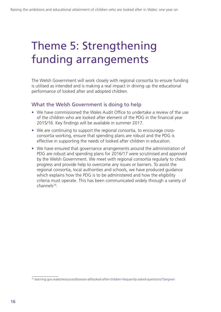# Theme 5: Strengthening funding arrangements

The Welsh Government will work closely with regional consortia to ensure funding is utilised as intended and is making a real impact in driving up the educational performance of looked after and adopted children.

### What the Welsh Government is doing to help

- We have commissioned the Wales Audit Office to undertake a review of the use of the children who are looked after element of the PDG in the financial year 2015/16. Key findings will be available in summer 2017.
- We are continuing to support the regional consortia, to encourage crossconsortia working, ensure that spending plans are robust and the PDG is effective in supporting the needs of looked after children in education.
- We have ensured that governance arrangements around the administration of PDG are robust and spending plans for 2016/17 were scrutinised and approved by the Welsh Government. We meet with regional consortia regularly to check progress and provide help to overcome any issues or barriers. To assist the regional consortia, local authorities and schools, we have produced guidance which explains how the PDG is to be administered and how the eligibility criteria must operate. This has been communicated widely through a variety of channels14.

<sup>14</sup> [learning.gov.wales/resources/browse-all/looked-after-children-frequently-asked-questions/?lang=en](http://learning.gov.wales/resources/browse-all/looked-after-children-frequently-asked-questions/?lang=en)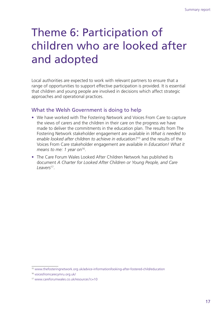# Theme 6: Participation of children who are looked after and adopted

Local authorities are expected to work with relevant partners to ensure that a range of opportunities to support effective participation is provided. It is essential that children and young people are involved in decisions which affect strategic approaches and operational practices.

## What the Welsh Government is doing to help

- We have worked with The Fostering Network and Voices From Care to capture the views of carers and the children in their care on the progress we have made to deliver the commitments in the education plan. The results from The Fostering Network stakeholder engagement are available in *What is needed to enable looked after children to achieve in education?*15 and the results of the Voices From Care stakeholder engagement are available in *Education! What it*  means to me: 1 year on<sup>16</sup>.
- The Care Forum Wales Looked After Children Network has published its document *A Charter for Looked After Children or Young People, and Care Leavers*17.

<sup>15</sup> [www.thefosteringnetwork.org.uk/advice-information/looking-after-fostered-child/education](http://www.thefosteringnetwork.org.uk/advice-information/looking-after-fostered-child/education)

<sup>16</sup> [voicesfromcarecymru.org.uk/](http://voicesfromcarecymru.org.uk/)

<sup>17</sup> [www.careforumwales.co.uk/resources?c=10](http://www.careforumwales.co.uk/resources?c=10)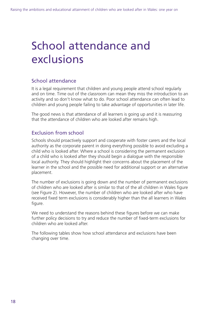# School attendance and exclusions

## School attendance

It is a legal requirement that children and young people attend school regularly and on time. Time out of the classroom can mean they miss the introduction to an activity and so don't know what to do. Poor school attendance can often lead to children and young people failing to take advantage of opportunities in later life.

The good news is that attendance of all learners is going up and it is reassuring that the attendance of children who are looked after remains high.

## Exclusion from school

Schools should proactively support and cooperate with foster carers and the local authority as the corporate parent in doing everything possible to avoid excluding a child who is looked after. Where a school is considering the permanent exclusion of a child who is looked after they should begin a dialogue with the responsible local authority. They should highlight their concerns about the placement of the learner in the school and the possible need for additional support or an alternative placement.

The number of exclusions is going down and the number of permanent exclusions of children who are looked after is similar to that of the all children in Wales figure (see Figure 2). However, the number of children who are looked after who have received fixed term exclusions is considerably higher than the all learners in Wales figure.

We need to understand the reasons behind these figures before we can make further policy decisions to try and reduce the number of fixed-term exclusions for children who are looked after.

The following tables show how school attendance and exclusions have been changing over time.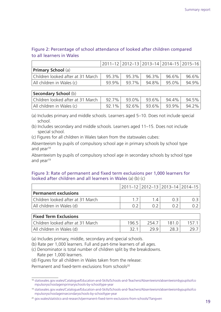### Figure 2: Percentage of school attendance of looked after children compared to all learners in Wales

|                                   |       |       |          | 2011-12   2012-13   2013-14   2014-15   2015-16 |       |
|-----------------------------------|-------|-------|----------|-------------------------------------------------|-------|
| <b>Primary School</b> (a)         |       |       |          |                                                 |       |
| Children looked after at 31 March | 95.3% | 95.3% | $96.3\%$ | 96.6%                                           | 96.6% |
| All children in Wales (c)         | 93.9% | 93.7% | 94.8%    | 95.0%                                           | 94.9% |

#### **Secondary School** (b)

| $\sim$                                                                                             |  |                                  |  |
|----------------------------------------------------------------------------------------------------|--|----------------------------------|--|
| Children looked after at 31 March   $\,$ 92.7%   $\,$ 93.0%   $\,$ 93.6%   $\,$ 94.4%   $\,$ 94.5% |  |                                  |  |
| All children in Wales (c)                                                                          |  | $92.1\%$ 92.6% 93.6% 93.9% 94.2% |  |

(a) Includes primary and middle schools. Learners aged 5–10. Does not include special school.

- (b) Includes secondary and middle schools. Learners aged 11–15. Does not include special school.
- (c) Figures for all children in Wales taken from the statswales cubes:

Absenteeism by pupils of compulsory school age in primary schools by school type and vear<sup>18</sup>

Absenteeism by pupils of compulsory school age in secondary schools by school type and vear<sup>19</sup>

#### Figure 3: Rate of permanent and fixed term exclusions per 1,000 learners for looked after children and all learners in Wales (a) (b) (c)

|                                   | 2011-12 2012-13 2013-14 2014-15 |  |
|-----------------------------------|---------------------------------|--|
| <b>Permanent exclusions</b>       |                                 |  |
| Children looked after at 31 March |                                 |  |
| All children in Wales (d)         |                                 |  |

| <b>Fixed Term Exclusions</b>      |       |       |       |  |
|-----------------------------------|-------|-------|-------|--|
| Children looked after at 31 March | 196.5 | 254.7 | 181 N |  |
| All children in Wales (d)         | 32.   | 29 9  | 28.3  |  |

(a) Includes primary, middle, secondary and special schools.

- (b) Rate per 1,000 learners. Full and part-time learners of all ages.
- (c) Denominator is total number of children split by the breakdowns. Rate per 1,000 learners.
- (d) Figures for all children in Wales taken from the release:

Permanent and fixed-term exclusions from schools<sup>20</sup>

<sup>18</sup> [statswales.gov.wales/Catalogue/Education-and-Skills/Schools-and-Teachers/Absenteeism/absenteeismbypupilsofco](http://statswales.gov.wales/Catalogue/Education-and-Skills/Schools-and-Teachers/Absenteeism/absenteeismbypupilsofcompulsoryschoolageinprimaryschools-by-schooltype-year) [mpulsoryschoolageinprimaryschools-by-schooltype-year](http://statswales.gov.wales/Catalogue/Education-and-Skills/Schools-and-Teachers/Absenteeism/absenteeismbypupilsofcompulsoryschoolageinprimaryschools-by-schooltype-year)

<sup>19</sup> [statswales.gov.wales/Catalogue/Education-and-Skills/Schools-and-Teachers/Absenteeism/absenteeismbypupilsofco](http://statswales.gov.wales/Catalogue/Education-and-Skills/Schools-and-Teachers/Absenteeism/absenteeismbypupilsofcompulsoryschoolageinsecondaryschools-by-schooltype-year) [mpulsoryschoolageinsecondaryschools-by-schooltype-year](http://statswales.gov.wales/Catalogue/Education-and-Skills/Schools-and-Teachers/Absenteeism/absenteeismbypupilsofcompulsoryschoolageinsecondaryschools-by-schooltype-year)

<sup>20</sup> [gov.wales/statistics-and-research/permanent-fixed-term-exclusions-from-schools/?lang=en](http://gov.wales/statistics-and-research/permanent-fixed-term-exclusions-from-schools/?lang=en)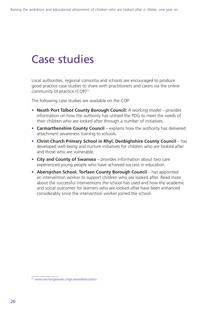# Case studies

Local authorities, regional consortia and schools are encouraged to produce good practice case studies to share with practitioners and carers via the online community of practice (COP)<sup>21</sup>.

The following case studies are available on the COP.

- **Neath Port Talbot County Borough Council:** *A working model* provides information on how the authority has utilised the PDG to meet the needs of their children who are looked after through a number of initiatives.
- **Carmarthenshire County Council** explains how the authority has delivered attachment awareness training to schools.
- **Christ Church Primary School in Rhyl, Denbighshire County Council** has developed well-being and nurture initiatives for children who are looked after and those who are vulnerable.
- **City and County of Swansea** provides information about two care experienced young people who have achieved success in education.
- **Abersychan School, Torfaen County Borough Council** has appointed an intervention worker to support children who are looked after. Read more about the successful interventions the school has used and how the academic and social outcomes for learners who are looked after have been enhanced considerably since the intervention worker joined the school.

<sup>21</sup> [www.exchangewales.org/careandeducation](http://www.exchangewales.org/careandeducation)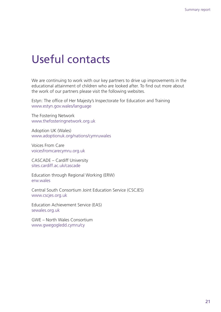# Useful contacts

We are continuing to work with our key partners to drive up improvements in the educational attainment of children who are looked after. To find out more about the work of our partners please visit the following websites.

Estyn: The office of Her Majesty's Inspectorate for Education and Training [www.estyn.gov.wales/language](http://www.estyn.gov.wales/language)

The Fostering Network [www.thefosteringnetwork.org.uk](http://www.thefosteringnetwork.org.uk)

Adoption UK (Wales) [www.adoptionuk.org/nations/cymruwales](http://www.adoptionuk.org/nations/cymruwales)

Voices From Care [voicesfromcarecymru.org.uk](http://voicesfromcarecymru.org.uk)

CASCADE – Cardiff University [sites.cardiff.ac.uk/cascade](http://sites.cardiff.ac.uk/cascade)

Education through Regional Working (ERW) [erw.wales](http://erw.wales)

Central South Consortium Joint Education Service (CSCJES) [www.cscjes.org.uk](http://www.cscjes.org.uk)

Education Achievement Service (EAS) [sewales.org.uk](http://sewales.org.uk)

GWE – North Wales Consortium [www.gwegogledd.cymru/cy](http://www.gwegogledd.cymru/cy)